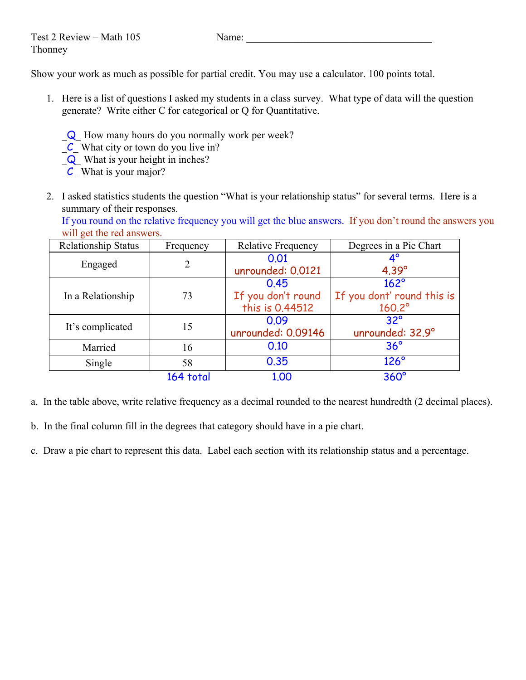Show your work as much as possible for partial credit. You may use a calculator. 100 points total.

- 1. Here is a list of questions I asked my students in a class survey. What type of data will the question generate? Write either C for categorical or Q for Quantitative.
	- \_Q\_ How many hours do you normally work per week?
	- $\mathcal{C}_\text{L}$  What city or town do you live in?
	- \_Q\_ What is your height in inches?
	- $\mathcal{C}$  What is your major?
- 2. I asked statistics students the question "What is your relationship status" for several terms. Here is a summary of their responses.

If you round on the relative frequency you will get the blue answers. If you don't round the answers you will get the red answers.

| Relationship Status | Frequency | <b>Relative Frequency</b> | Degrees in a Pie Chart     |  |
|---------------------|-----------|---------------------------|----------------------------|--|
|                     |           | 0.01                      | $4^\circ$                  |  |
| Engaged             | 2         | unrounded: 0.0121         | $4.39^\circ$               |  |
|                     |           | 0.45                      | $162^\circ$                |  |
| In a Relationship   | 73        | If you don't round        | If you dont' round this is |  |
|                     |           | this is 0.44512           | $160.2^\circ$              |  |
| It's complicated    | 15        | 0.09                      | $32^{\circ}$               |  |
|                     |           | unrounded: 0.09146        | unrounded: 32.9°           |  |
| Married             | 16        | 0.10                      | $36^{\circ}$               |  |
| Single              | 58        | 0.35                      | $126^\circ$                |  |
|                     | 164 total | 1.00                      | $360^\circ$                |  |

a. In the table above, write relative frequency as a decimal rounded to the nearest hundredth (2 decimal places).

b. In the final column fill in the degrees that category should have in a pie chart.

c. Draw a pie chart to represent this data. Label each section with its relationship status and a percentage.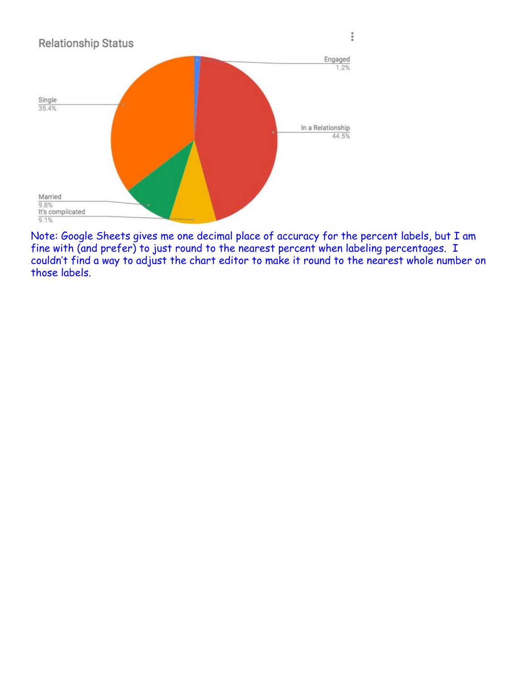

Note: Google Sheets gives me one decimal place of accuracy for the percent labels, but I am fine with (and prefer) to just round to the nearest percent when labeling percentages. I couldn't find a way to adjust the chart editor to make it round to the nearest whole number on those labels.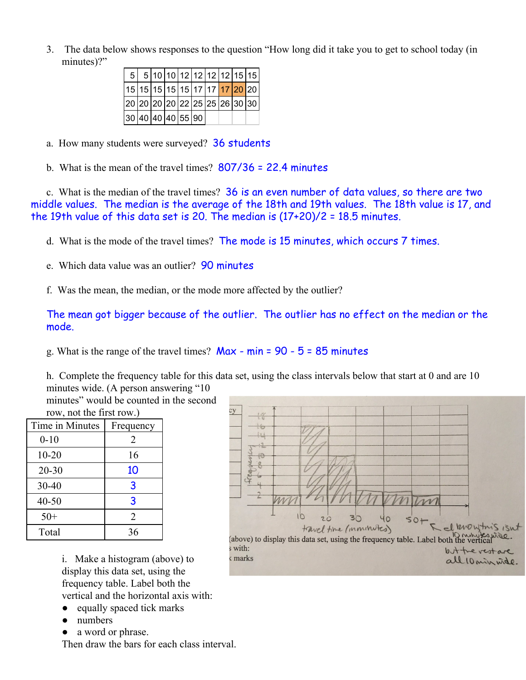3. The data below shows responses to the question "How long did it take you to get to school today (in minutes)?"

| 5 <sup>1</sup>                         |  |  |  | 5 10 10 12 12 12 12 15 15 |  |
|----------------------------------------|--|--|--|---------------------------|--|
|                                        |  |  |  |                           |  |
| 20  20  20  20  22  25  25  26  30  30 |  |  |  |                           |  |
| 30 40 40 40 55 90                      |  |  |  |                           |  |

- a. How many students were surveyed? **36 students**
- b. What is the mean of the travel times? 807/36 = 22.4 minutes

c. What is the median of the travel times? 36 is an even number of data values, so there are two middle values. The median is the average of the 18th and 19th values. The 18th value is 17, and the 19th value of this data set is 20. The median is (17+20)/2 = 18.5 minutes.

- d. What is the mode of the travel times? The mode is 15 minutes, which occurs 7 times.
- e. Which data value was an outlier? 90 minutes
- f. Was the mean, the median, or the mode more affected by the outlier?

The mean got bigger because of the outlier. The outlier has no effect on the median or the mode.

g. What is the range of the travel times?  $Max - min = 90 - 5 = 85$  minutes

h. Complete the frequency table for this data set, using the class intervals below that start at 0 and are 10 minutes wide. (A person answering "10

minutes" would be counted in the second row, not the first row.)

| 10W, 110U, 111U, 1110U, 10W, 10W |           |  |  |
|----------------------------------|-----------|--|--|
| Time in Minutes                  | Frequency |  |  |
| $0 - 10$                         | 2         |  |  |
| $10 - 20$                        | 16        |  |  |
| $20 - 30$                        | 10        |  |  |
| 30-40                            | 3         |  |  |
| $40 - 50$                        | 3         |  |  |
| $50+$                            | 2         |  |  |
| Total                            | 36        |  |  |

i. Make a histogram (above) to display this data set, using the frequency table. Label both the vertical and the horizontal axis with:

- equally spaced tick marks
- numbers
- a word or phrase.

Then draw the bars for each class interval.

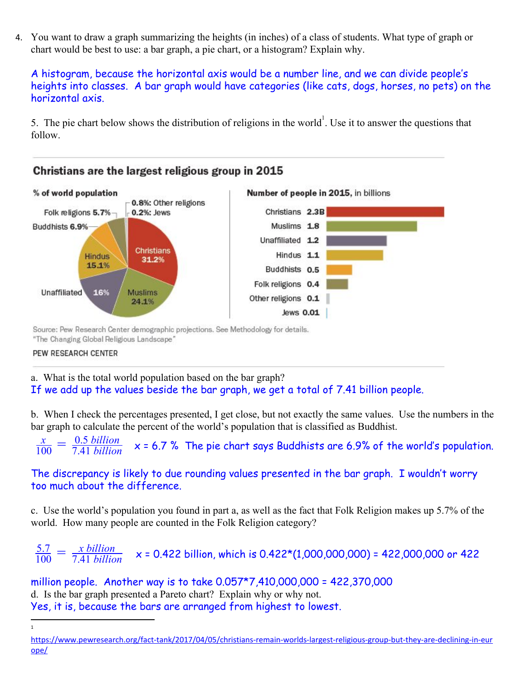4. You want to draw a graph summarizing the heights (in inches) of a class of students. What type of graph or chart would be best to use: a bar graph, a pie chart, or a histogram? Explain why.

A histogram, because the horizontal axis would be a number line, and we can divide people's heights into classes. A bar graph would have categories (like cats, dogs, horses, no pets) on the horizontal axis.

5. The pie chart below shows the distribution of religions in the world<sup>1</sup>. Use it to answer the questions that follow.



Source: Pew Research Center demographic projections. See Methodology for details. "The Changing Global Religious Landscape"

PEW RESEARCH CENTER

a. What is the total world population based on the bar graph? If we add up the values beside the bar graph, we get a total of 7.41 billion people.

b. When I check the percentages presented, I get close, but not exactly the same values. Use the numbers in the bar graph to calculate the percent of the world's population that is classified as Buddhist.

 $\frac{x}{100} = \frac{0.5 \text{ billion}}{7.41 \text{ billion}}$  x = 6.7 % The pie chart says Buddhists are 6.9% of the world's population.  $\frac{x}{100} = \frac{0.5 \text{ billion}}{7.41 \text{ billion}}$ 7.41 *billion*

## The discrepancy is likely to due rounding values presented in the bar graph. I wouldn't worry too much about the difference.

c. Use the world's population you found in part a, as well as the fact that Folk Religion makes up 5.7% of the world. How many people are counted in the Folk Religion category?

 $\frac{5.7}{100} = \frac{x \, billion}{7.41 \, billion}$  x = 0.422 billion, which is 0.422\*(1,000,000,000) = 422,000,000 or 422 7.41 *billion*

million people. Another way is to take 0.057\*7,410,000,000 = 422,370,000 d. Is the bar graph presented a Pareto chart? Explain why or why not. Yes, it is, because the bars are arranged from highest to lowest.

[https://www.pewresearch.org/fact-tank/2017/04/05/christians-remain-worlds-largest-religious-group-but-they-are-declining-in-eur](https://www.pewresearch.org/fact-tank/2017/04/05/christians-remain-worlds-largest-religious-group-but-they-are-declining-in-europe/) [ope/](https://www.pewresearch.org/fact-tank/2017/04/05/christians-remain-worlds-largest-religious-group-but-they-are-declining-in-europe/)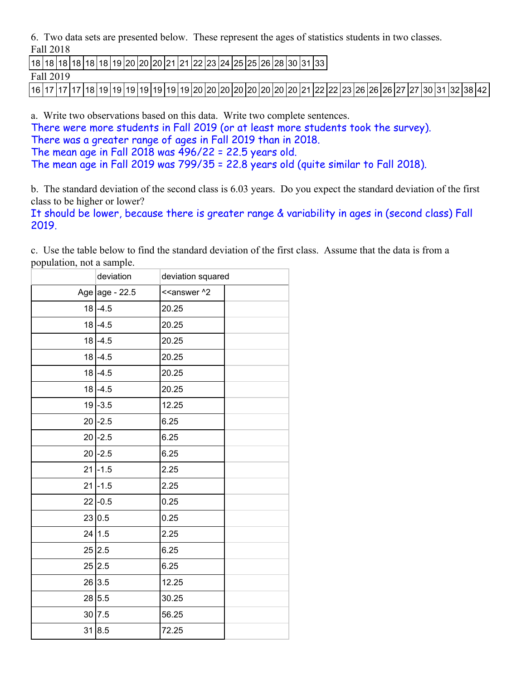6. Two data sets are presented below. These represent the ages of statistics students in two classes. Fall 2018

|18 |18 |18 |18 |18 |18 |19 |20 |20 |20 |21 |21 |22 |23 |24 |25 |25 |26 |28 |30 |31 |33 |

Fall 2019

|16 |17 |17 |17 |18 |19 |19 |19 |19 |19 |19 |19 |20 |20 |20 |20 |20 |20 |21 |22 |22 |23 |26 |26 |27 |27 |30 |31 |32 |38 |42 |

a. Write two observations based on this data. Write two complete sentences. There were more students in Fall 2019 (or at least more students took the survey).

There was a greater range of ages in Fall 2019 than in 2018. The mean age in Fall 2018 was  $\overline{4}96/22 = 22.5$  years old. The mean age in Fall 2019 was 799/35 = 22.8 years old (quite similar to Fall 2018).

b. The standard deviation of the second class is 6.03 years. Do you expect the standard deviation of the first class to be higher or lower?

It should be lower, because there is greater range & variability in ages in (second class) Fall 2019.

c. Use the table below to find the standard deviation of the first class. Assume that the data is from a population, not a sample.

| deviation        | deviation squared                         |  |
|------------------|-------------------------------------------|--|
| Age age - $22.5$ | < <answer ^2<="" td=""><td></td></answer> |  |
| $18 - 4.5$       | 20.25                                     |  |
| $18 - 4.5$       | 20.25                                     |  |
| $18 - 4.5$       | 20.25                                     |  |
| $18 - 4.5$       | 20.25                                     |  |
| $18 - 4.5$       | 20.25                                     |  |
| $18 - 4.5$       | 20.25                                     |  |
| $19 - 3.5$       | 12.25                                     |  |
| $20$ -2.5        | 6.25                                      |  |
| $20$ -2.5        | 6.25                                      |  |
| $20$ -2.5        | 6.25                                      |  |
| $21$ -1.5        | 2.25                                      |  |
| $21$ -1.5        | 2.25                                      |  |
| $22$ -0.5        | 0.25                                      |  |
| 23 0.5           | 0.25                                      |  |
| 24 1.5           | 2.25                                      |  |
| 25 2.5           | 6.25                                      |  |
| 25 2.5           | 6.25                                      |  |
| 26 3.5           | 12.25                                     |  |
| 28 5.5           | 30.25                                     |  |
| 30 7.5           | 56.25                                     |  |
| 31 8.5           | 72.25                                     |  |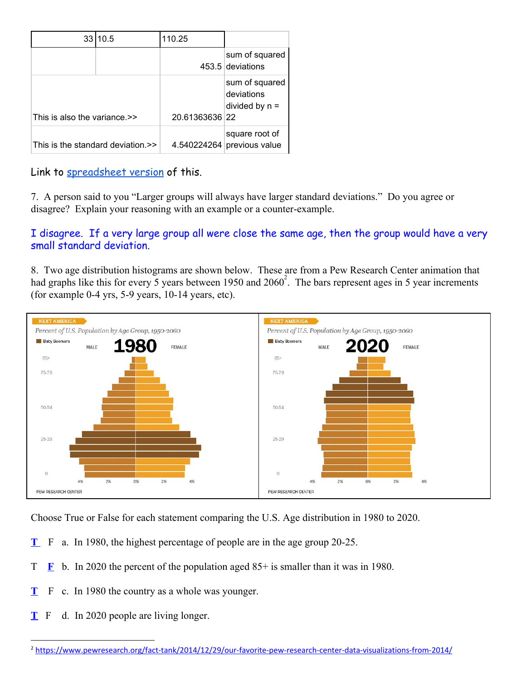| 33                                | 10.5 | 110.25         |                                                  |
|-----------------------------------|------|----------------|--------------------------------------------------|
|                                   |      |                | sum of squared<br>453.5 deviations               |
| This is also the variance.>>      |      | 20.61363636 22 | sum of squared<br>deviations<br>divided by $n =$ |
| This is the standard deviation.>> |      | 4.540224264    | square root of<br>previous value                 |

Link to [spreadsheet version](https://docs.google.com/spreadsheets/d/1yU-MjP1RiV-huZ1pZk7FMPwoB59auk5sJWB4kXxar-M/edit?usp=sharing) of this.

7. A person said to you "Larger groups will always have larger standard deviations." Do you agree or disagree? Explain your reasoning with an example or a counter-example.

## I disagree. If a very large group all were close the same age, then the group would have a very small standard deviation.

8. Two age distribution histograms are shown below. These are from a Pew Research Center animation that had graphs like this for every 5 years between 1950 and  $2060<sup>2</sup>$ . The bars represent ages in 5 year increments (for example 0-4 yrs, 5-9 years, 10-14 years, etc).



Choose True or False for each statement comparing the U.S. Age distribution in 1980 to 2020.

- **T** F a. In 1980, the highest percentage of people are in the age group 20-25.
- T **F** b. In 2020 the percent of the population aged  $85+$  is smaller than it was in 1980.
- **T** F c. In 1980 the country as a whole was younger.
- **T** F d. In 2020 people are living longer.

<sup>&</sup>lt;sup>2</sup> <https://www.pewresearch.org/fact-tank/2014/12/29/our-favorite-pew-research-center-data-visualizations-from-2014/>